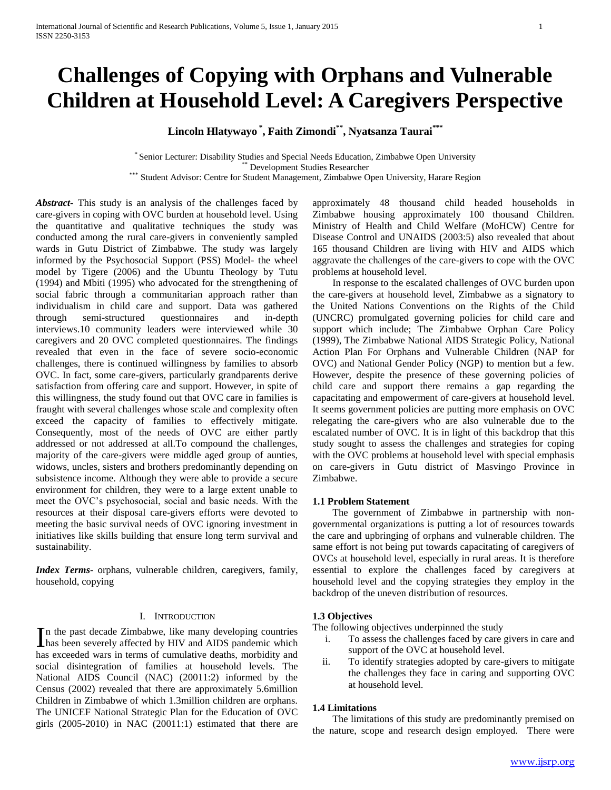# **Challenges of Copying with Orphans and Vulnerable Children at Household Level: A Caregivers Perspective**

**Lincoln Hlatywayo \* , Faith Zimondi\*\* , Nyatsanza Taurai\*\*\***

\* Senior Lecturer: Disability Studies and Special Needs Education, Zimbabwe Open University Development Studies Researcher

\*\*\* Student Advisor: Centre for Student Management, Zimbabwe Open University, Harare Region

*Abstract***-** This study is an analysis of the challenges faced by care-givers in coping with OVC burden at household level. Using the quantitative and qualitative techniques the study was conducted among the rural care-givers in conveniently sampled wards in Gutu District of Zimbabwe. The study was largely informed by the Psychosocial Support (PSS) Model- the wheel model by Tigere (2006) and the Ubuntu Theology by Tutu (1994) and Mbiti (1995) who advocated for the strengthening of social fabric through a communitarian approach rather than individualism in child care and support. Data was gathered through semi-structured questionnaires and in-depth interviews.10 community leaders were interviewed while 30 caregivers and 20 OVC completed questionnaires. The findings revealed that even in the face of severe socio-economic challenges, there is continued willingness by families to absorb OVC. In fact, some care-givers, particularly grandparents derive satisfaction from offering care and support. However, in spite of this willingness, the study found out that OVC care in families is fraught with several challenges whose scale and complexity often exceed the capacity of families to effectively mitigate. Consequently, most of the needs of OVC are either partly addressed or not addressed at all.To compound the challenges, majority of the care-givers were middle aged group of aunties, widows, uncles, sisters and brothers predominantly depending on subsistence income. Although they were able to provide a secure environment for children, they were to a large extent unable to meet the OVC's psychosocial, social and basic needs. With the resources at their disposal care-givers efforts were devoted to meeting the basic survival needs of OVC ignoring investment in initiatives like skills building that ensure long term survival and sustainability.

*Index Terms*- orphans, vulnerable children, caregivers, family, household, copying

#### I. INTRODUCTION

n the past decade Zimbabwe, like many developing countries In the past decade Zimbabwe, like many developing countries<br>has been severely affected by HIV and AIDS pandemic which has exceeded wars in terms of cumulative deaths, morbidity and social disintegration of families at household levels. The National AIDS Council (NAC) (20011:2) informed by the Census (2002) revealed that there are approximately 5.6million Children in Zimbabwe of which 1.3million children are orphans. The UNICEF National Strategic Plan for the Education of OVC girls (2005-2010) in NAC (20011:1) estimated that there are

approximately 48 thousand child headed households in Zimbabwe housing approximately 100 thousand Children. Ministry of Health and Child Welfare (MoHCW) Centre for Disease Control and UNAIDS (2003:5) also revealed that about 165 thousand Children are living with HIV and AIDS which aggravate the challenges of the care-givers to cope with the OVC problems at household level.

 In response to the escalated challenges of OVC burden upon the care-givers at household level, Zimbabwe as a signatory to the United Nations Conventions on the Rights of the Child (UNCRC) promulgated governing policies for child care and support which include; The Zimbabwe Orphan Care Policy (1999), The Zimbabwe National AIDS Strategic Policy, National Action Plan For Orphans and Vulnerable Children (NAP for OVC) and National Gender Policy (NGP) to mention but a few. However, despite the presence of these governing policies of child care and support there remains a gap regarding the capacitating and empowerment of care-givers at household level. It seems government policies are putting more emphasis on OVC relegating the care-givers who are also vulnerable due to the escalated number of OVC. It is in light of this backdrop that this study sought to assess the challenges and strategies for coping with the OVC problems at household level with special emphasis on care-givers in Gutu district of Masvingo Province in Zimbabwe.

#### **1.1 Problem Statement**

 The government of Zimbabwe in partnership with nongovernmental organizations is putting a lot of resources towards the care and upbringing of orphans and vulnerable children. The same effort is not being put towards capacitating of caregivers of OVCs at household level, especially in rural areas. It is therefore essential to explore the challenges faced by caregivers at household level and the copying strategies they employ in the backdrop of the uneven distribution of resources.

#### **1.3 Objectives**

The following objectives underpinned the study

- i. To assess the challenges faced by care givers in care and support of the OVC at household level.
- ii. To identify strategies adopted by care-givers to mitigate the challenges they face in caring and supporting OVC at household level.

#### **1.4 Limitations**

 The limitations of this study are predominantly premised on the nature, scope and research design employed. There were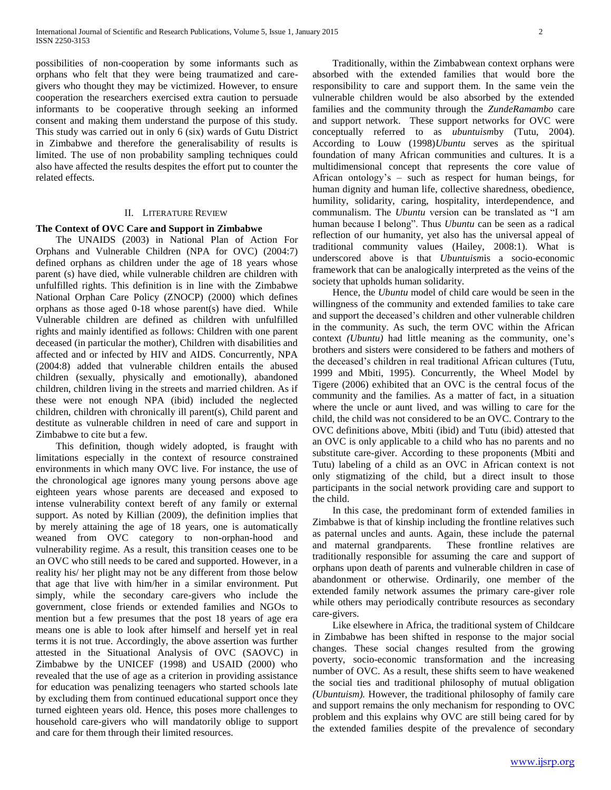possibilities of non-cooperation by some informants such as orphans who felt that they were being traumatized and caregivers who thought they may be victimized. However, to ensure cooperation the researchers exercised extra caution to persuade informants to be cooperative through seeking an informed consent and making them understand the purpose of this study. This study was carried out in only 6 (six) wards of Gutu District in Zimbabwe and therefore the generalisability of results is limited. The use of non probability sampling techniques could also have affected the results despites the effort put to counter the related effects.

#### II. LITERATURE REVIEW

#### **The Context of OVC Care and Support in Zimbabwe**

 The UNAIDS (2003) in National Plan of Action For Orphans and Vulnerable Children (NPA for OVC) (2004:7) defined orphans as children under the age of 18 years whose parent (s) have died, while vulnerable children are children with unfulfilled rights. This definition is in line with the Zimbabwe National Orphan Care Policy (ZNOCP) (2000) which defines orphans as those aged 0-18 whose parent(s) have died. While Vulnerable children are defined as children with unfulfilled rights and mainly identified as follows: Children with one parent deceased (in particular the mother), Children with disabilities and affected and or infected by HIV and AIDS. Concurrently, NPA (2004:8) added that vulnerable children entails the abused children (sexually, physically and emotionally), abandoned children, children living in the streets and married children. As if these were not enough NPA (ibid) included the neglected children, children with chronically ill parent(s), Child parent and destitute as vulnerable children in need of care and support in Zimbabwe to cite but a few.

 This definition, though widely adopted, is fraught with limitations especially in the context of resource constrained environments in which many OVC live. For instance, the use of the chronological age ignores many young persons above age eighteen years whose parents are deceased and exposed to intense vulnerability context bereft of any family or external support. As noted by Killian (2009), the definition implies that by merely attaining the age of 18 years, one is automatically weaned from OVC category to non-orphan-hood and vulnerability regime. As a result, this transition ceases one to be an OVC who still needs to be cared and supported. However, in a reality his/ her plight may not be any different from those below that age that live with him/her in a similar environment. Put simply, while the secondary care-givers who include the government, close friends or extended families and NGOs to mention but a few presumes that the post 18 years of age era means one is able to look after himself and herself yet in real terms it is not true. Accordingly, the above assertion was further attested in the Situational Analysis of OVC (SAOVC) in Zimbabwe by the UNICEF (1998) and USAID (2000) who revealed that the use of age as a criterion in providing assistance for education was penalizing teenagers who started schools late by excluding them from continued educational support once they turned eighteen years old. Hence, this poses more challenges to household care-givers who will mandatorily oblige to support and care for them through their limited resources.

 Traditionally, within the Zimbabwean context orphans were absorbed with the extended families that would bore the responsibility to care and support them. In the same vein the vulnerable children would be also absorbed by the extended families and the community through the *ZundeRamambo* care and support network. These support networks for OVC were conceptually referred to as *ubuntuism*by (Tutu, 2004). According to Louw (1998)*Ubuntu* serves as the spiritual foundation of many African communities and cultures. It is a multidimensional concept that represents the core value of African ontology's – such as respect for human beings, for human dignity and human life, collective sharedness, obedience, humility, solidarity, caring, hospitality, interdependence, and communalism. The *Ubuntu* version can be translated as "I am human because I belong". Thus *Ubuntu* can be seen as a radical reflection of our humanity, yet also has the universal appeal of traditional community values (Hailey, 2008:1). What is underscored above is that *Ubuntuism*is a socio-economic framework that can be analogically interpreted as the veins of the society that upholds human solidarity.

 Hence, the *Ubuntu* model of child care would be seen in the willingness of the community and extended families to take care and support the deceased's children and other vulnerable children in the community. As such, the term OVC within the African context *(Ubuntu)* had little meaning as the community, one's brothers and sisters were considered to be fathers and mothers of the deceased's children in real traditional African cultures (Tutu, 1999 and Mbiti, 1995). Concurrently, the Wheel Model by Tigere (2006) exhibited that an OVC is the central focus of the community and the families. As a matter of fact, in a situation where the uncle or aunt lived, and was willing to care for the child, the child was not considered to be an OVC. Contrary to the OVC definitions above, Mbiti (ibid) and Tutu (ibid) attested that an OVC is only applicable to a child who has no parents and no substitute care-giver. According to these proponents (Mbiti and Tutu) labeling of a child as an OVC in African context is not only stigmatizing of the child, but a direct insult to those participants in the social network providing care and support to the child.

 In this case, the predominant form of extended families in Zimbabwe is that of kinship including the frontline relatives such as paternal uncles and aunts. Again, these include the paternal and maternal grandparents. These frontline relatives are traditionally responsible for assuming the care and support of orphans upon death of parents and vulnerable children in case of abandonment or otherwise. Ordinarily, one member of the extended family network assumes the primary care-giver role while others may periodically contribute resources as secondary care-givers.

 Like elsewhere in Africa, the traditional system of Childcare in Zimbabwe has been shifted in response to the major social changes. These social changes resulted from the growing poverty, socio-economic transformation and the increasing number of OVC. As a result, these shifts seem to have weakened the social ties and traditional philosophy of mutual obligation *(Ubuntuism).* However, the traditional philosophy of family care and support remains the only mechanism for responding to OVC problem and this explains why OVC are still being cared for by the extended families despite of the prevalence of secondary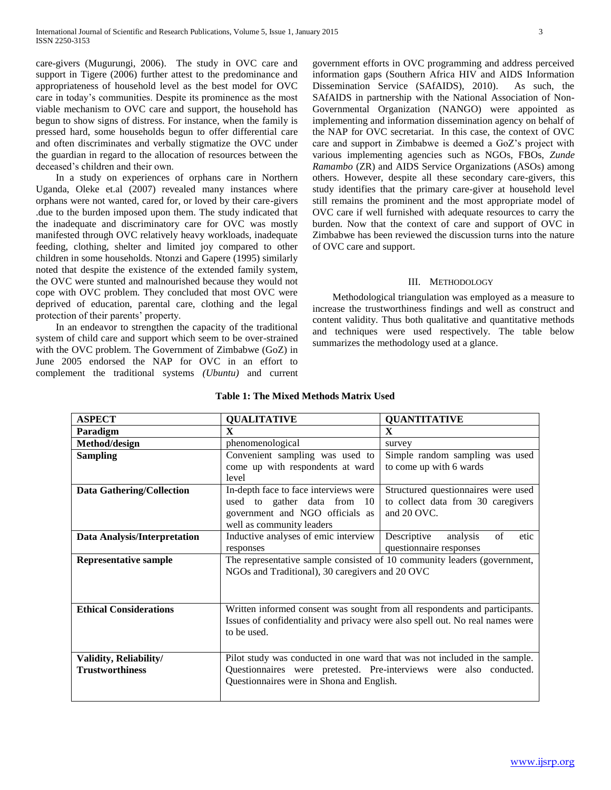care-givers (Mugurungi, 2006). The study in OVC care and support in Tigere (2006) further attest to the predominance and appropriateness of household level as the best model for OVC care in today's communities. Despite its prominence as the most viable mechanism to OVC care and support, the household has begun to show signs of distress. For instance, when the family is pressed hard, some households begun to offer differential care and often discriminates and verbally stigmatize the OVC under the guardian in regard to the allocation of resources between the deceased's children and their own.

 In a study on experiences of orphans care in Northern Uganda, Oleke et.al (2007) revealed many instances where orphans were not wanted, cared for, or loved by their care-givers .due to the burden imposed upon them. The study indicated that the inadequate and discriminatory care for OVC was mostly manifested through OVC relatively heavy workloads, inadequate feeding, clothing, shelter and limited joy compared to other children in some households. Ntonzi and Gapere (1995) similarly noted that despite the existence of the extended family system, the OVC were stunted and malnourished because they would not cope with OVC problem. They concluded that most OVC were deprived of education, parental care, clothing and the legal protection of their parents' property.

 In an endeavor to strengthen the capacity of the traditional system of child care and support which seem to be over-strained with the OVC problem. The Government of Zimbabwe (GoZ) in June 2005 endorsed the NAP for OVC in an effort to complement the traditional systems *(Ubuntu)* and current government efforts in OVC programming and address perceived information gaps (Southern Africa HIV and AIDS Information Dissemination Service (SAfAIDS), 2010). As such, the SAfAIDS in partnership with the National Association of Non-Governmental Organization (NANGO) were appointed as implementing and information dissemination agency on behalf of the NAP for OVC secretariat. In this case, the context of OVC care and support in Zimbabwe is deemed a GoZ's project with various implementing agencies such as NGOs, FBOs, *Zunde Ramambo* (ZR) and AIDS Service Organizations (ASOs) among others. However, despite all these secondary care-givers, this study identifies that the primary care-giver at household level still remains the prominent and the most appropriate model of OVC care if well furnished with adequate resources to carry the burden. Now that the context of care and support of OVC in Zimbabwe has been reviewed the discussion turns into the nature of OVC care and support.

#### III. METHODOLOGY

 Methodological triangulation was employed as a measure to increase the trustworthiness findings and well as construct and content validity. Thus both qualitative and quantitative methods and techniques were used respectively. The table below summarizes the methodology used at a glance.

| <b>ASPECT</b>                       | <b>QUALITATIVE</b>                                                            | <b>QUANTITATIVE</b>                   |  |  |  |
|-------------------------------------|-------------------------------------------------------------------------------|---------------------------------------|--|--|--|
| Paradigm                            | $\mathbf x$                                                                   | $\mathbf{X}$                          |  |  |  |
| Method/design                       | phenomenological                                                              | survey                                |  |  |  |
| <b>Sampling</b>                     | Convenient sampling was used to                                               | Simple random sampling was used       |  |  |  |
|                                     | come up with respondents at ward                                              | to come up with 6 wards               |  |  |  |
|                                     | level                                                                         |                                       |  |  |  |
| <b>Data Gathering/Collection</b>    | In-depth face to face interviews were                                         | Structured questionnaires were used   |  |  |  |
|                                     | used to gather data from 10                                                   | to collect data from 30 caregivers    |  |  |  |
|                                     | government and NGO officials as                                               | and 20 OVC.                           |  |  |  |
|                                     | well as community leaders                                                     |                                       |  |  |  |
| <b>Data Analysis/Interpretation</b> | Inductive analyses of emic interview                                          | Descriptive<br>of<br>analysis<br>etic |  |  |  |
|                                     | responses                                                                     | questionnaire responses               |  |  |  |
| <b>Representative sample</b>        | The representative sample consisted of 10 community leaders (government,      |                                       |  |  |  |
|                                     | NGOs and Traditional), 30 caregivers and 20 OVC                               |                                       |  |  |  |
|                                     |                                                                               |                                       |  |  |  |
|                                     |                                                                               |                                       |  |  |  |
| <b>Ethical Considerations</b>       | Written informed consent was sought from all respondents and participants.    |                                       |  |  |  |
|                                     | Issues of confidentiality and privacy were also spell out. No real names were |                                       |  |  |  |
|                                     | to be used.                                                                   |                                       |  |  |  |
|                                     |                                                                               |                                       |  |  |  |
| Validity, Reliability/              | Pilot study was conducted in one ward that was not included in the sample.    |                                       |  |  |  |
| <b>Trustworthiness</b>              | Questionnaires were pretested. Pre-interviews were also conducted.            |                                       |  |  |  |
|                                     | Questionnaires were in Shona and English.                                     |                                       |  |  |  |
|                                     |                                                                               |                                       |  |  |  |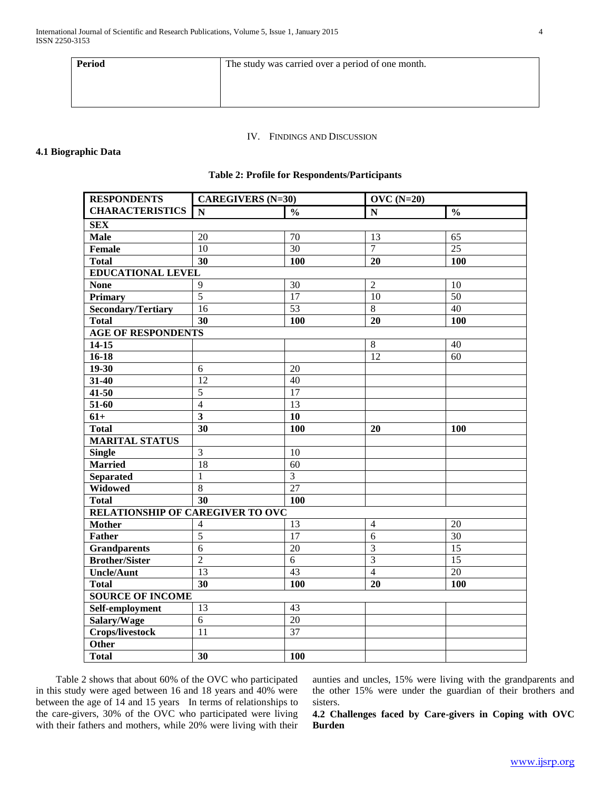| <b>Period</b> | The study was carried over a period of one month. |  |  |  |
|---------------|---------------------------------------------------|--|--|--|
|               |                                                   |  |  |  |
|               |                                                   |  |  |  |

## IV. FINDINGS AND DISCUSSION

# **4.1 Biographic Data**

# **Table 2: Profile for Respondents/Participants**

| <b>RESPONDENTS</b>                      | <b>CAREGIVERS</b> (N=30) |                 | $OVC$ (N=20)    |                 |  |  |
|-----------------------------------------|--------------------------|-----------------|-----------------|-----------------|--|--|
| <b>CHARACTERISTICS</b>                  | N                        | $\frac{0}{0}$   | N               | $\frac{0}{0}$   |  |  |
| <b>SEX</b>                              |                          |                 |                 |                 |  |  |
| <b>Male</b>                             | 20                       | $\overline{70}$ | 13              | 65              |  |  |
| <b>Female</b>                           | 10                       | 30              | 7               | 25              |  |  |
| <b>Total</b>                            | $\overline{30}$          | 100             | 20              | 100             |  |  |
| <b>EDUCATIONAL LEVEL</b>                |                          |                 |                 |                 |  |  |
| <b>None</b>                             | 9                        | $\overline{30}$ | $\overline{2}$  | 10              |  |  |
| <b>Primary</b>                          | $\overline{5}$           | 17              | 10              | 50              |  |  |
| <b>Secondary/Tertiary</b>               | $\overline{16}$          | 53              | $\overline{8}$  | $\overline{40}$ |  |  |
| <b>Total</b>                            | $\overline{30}$          | 100             | 20              | 100             |  |  |
| <b>AGE OF RESPONDENTS</b>               |                          |                 |                 |                 |  |  |
| $14-15$                                 |                          |                 | $\overline{8}$  | 40              |  |  |
| $16 - 18$                               |                          |                 | $\overline{12}$ | 60              |  |  |
| $19 - 30$                               | 6                        | 20              |                 |                 |  |  |
| 31-40                                   | 12                       | 40              |                 |                 |  |  |
| $41 - 50$                               | $\overline{5}$           | 17              |                 |                 |  |  |
| 51-60                                   | $\overline{4}$           | 13              |                 |                 |  |  |
| $61+$                                   | $\overline{\mathbf{3}}$  | 10              |                 |                 |  |  |
| <b>Total</b>                            | 30                       | 100             | 20              | <b>100</b>      |  |  |
| <b>MARITAL STATUS</b>                   |                          |                 |                 |                 |  |  |
| <b>Single</b>                           | $\overline{3}$           | 10              |                 |                 |  |  |
| <b>Married</b>                          | $\overline{18}$          | $\overline{60}$ |                 |                 |  |  |
| <b>Separated</b>                        | 1                        | $\overline{3}$  |                 |                 |  |  |
| Widowed                                 | $\overline{8}$           | 27              |                 |                 |  |  |
| <b>Total</b>                            | $\overline{30}$          | 100             |                 |                 |  |  |
| <b>RELATIONSHIP OF CAREGIVER TO OVC</b> |                          |                 |                 |                 |  |  |
| <b>Mother</b>                           | 4                        | 13              | $\overline{4}$  | 20              |  |  |
| <b>Father</b>                           | $\overline{5}$           | 17              | $\overline{6}$  | $\overline{30}$ |  |  |
| <b>Grandparents</b>                     | $\overline{6}$           | $\overline{20}$ | $\overline{3}$  | $\overline{15}$ |  |  |
| <b>Brother/Sister</b>                   | $\overline{2}$           | $\overline{6}$  | $\overline{3}$  | 15              |  |  |
| <b>Uncle/Aunt</b>                       | 13                       | 43              | $\overline{4}$  | 20              |  |  |
| <b>Total</b>                            | 30                       | <b>100</b>      | 20              | 100             |  |  |
| <b>SOURCE OF INCOME</b>                 |                          |                 |                 |                 |  |  |
| Self-employment                         | 13                       | 43              |                 |                 |  |  |
| Salary/Wage                             | $\overline{6}$           | $\overline{20}$ |                 |                 |  |  |
| <b>Crops/livestock</b>                  | $\overline{11}$          | $\overline{37}$ |                 |                 |  |  |
| <b>Other</b>                            |                          |                 |                 |                 |  |  |
| <b>Total</b>                            | 30                       | 100             |                 |                 |  |  |

 Table 2 shows that about 60% of the OVC who participated in this study were aged between 16 and 18 years and 40% were between the age of 14 and 15 years In terms of relationships to the care-givers, 30% of the OVC who participated were living with their fathers and mothers, while 20% were living with their aunties and uncles, 15% were living with the grandparents and the other 15% were under the guardian of their brothers and sisters.

**4.2 Challenges faced by Care-givers in Coping with OVC Burden**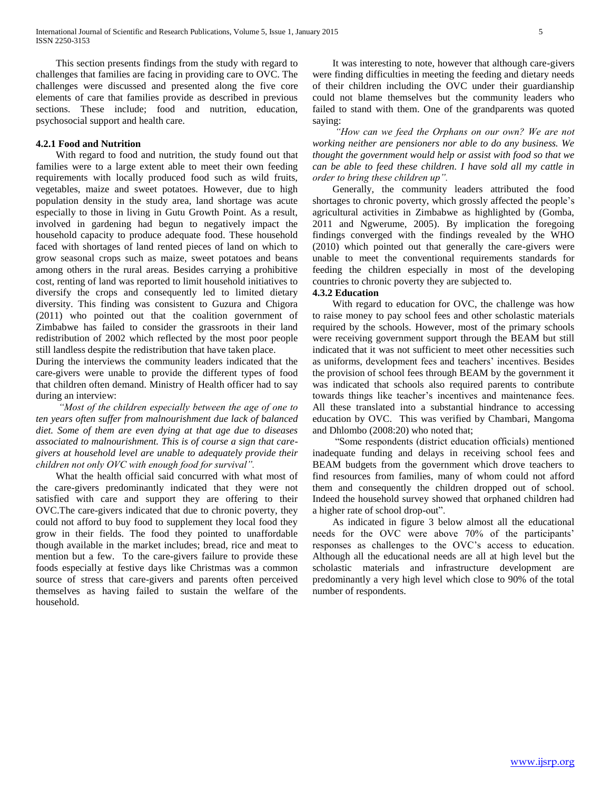This section presents findings from the study with regard to challenges that families are facing in providing care to OVC. The challenges were discussed and presented along the five core elements of care that families provide as described in previous sections. These include; food and nutrition, education, psychosocial support and health care.

#### **4.2.1 Food and Nutrition**

 With regard to food and nutrition, the study found out that families were to a large extent able to meet their own feeding requirements with locally produced food such as wild fruits, vegetables, maize and sweet potatoes. However, due to high population density in the study area, land shortage was acute especially to those in living in Gutu Growth Point. As a result, involved in gardening had begun to negatively impact the household capacity to produce adequate food. These household faced with shortages of land rented pieces of land on which to grow seasonal crops such as maize, sweet potatoes and beans among others in the rural areas. Besides carrying a prohibitive cost, renting of land was reported to limit household initiatives to diversify the crops and consequently led to limited dietary diversity. This finding was consistent to Guzura and Chigora (2011) who pointed out that the coalition government of Zimbabwe has failed to consider the grassroots in their land redistribution of 2002 which reflected by the most poor people still landless despite the redistribution that have taken place.

During the interviews the community leaders indicated that the care-givers were unable to provide the different types of food that children often demand. Ministry of Health officer had to say during an interview:

 *"Most of the children especially between the age of one to ten years often suffer from malnourishment due lack of balanced diet. Some of them are even dying at that age due to diseases associated to malnourishment. This is of course a sign that caregivers at household level are unable to adequately provide their children not only OVC with enough food for survival".*

 What the health official said concurred with what most of the care-givers predominantly indicated that they were not satisfied with care and support they are offering to their OVC.The care-givers indicated that due to chronic poverty, they could not afford to buy food to supplement they local food they grow in their fields. The food they pointed to unaffordable though available in the market includes; bread, rice and meat to mention but a few. To the care-givers failure to provide these foods especially at festive days like Christmas was a common source of stress that care-givers and parents often perceived themselves as having failed to sustain the welfare of the household.

 It was interesting to note, however that although care-givers were finding difficulties in meeting the feeding and dietary needs of their children including the OVC under their guardianship could not blame themselves but the community leaders who failed to stand with them. One of the grandparents was quoted saying:

 *"How can we feed the Orphans on our own? We are not working neither are pensioners nor able to do any business. We thought the government would help or assist with food so that we can be able to feed these children. I have sold all my cattle in order to bring these children up".*

 Generally, the community leaders attributed the food shortages to chronic poverty, which grossly affected the people's agricultural activities in Zimbabwe as highlighted by (Gomba, 2011 and Ngwerume, 2005). By implication the foregoing findings converged with the findings revealed by the WHO (2010) which pointed out that generally the care-givers were unable to meet the conventional requirements standards for feeding the children especially in most of the developing countries to chronic poverty they are subjected to.

#### **4.3.2 Education**

 With regard to education for OVC, the challenge was how to raise money to pay school fees and other scholastic materials required by the schools. However, most of the primary schools were receiving government support through the BEAM but still indicated that it was not sufficient to meet other necessities such as uniforms, development fees and teachers' incentives. Besides the provision of school fees through BEAM by the government it was indicated that schools also required parents to contribute towards things like teacher's incentives and maintenance fees. All these translated into a substantial hindrance to accessing education by OVC. This was verified by Chambari, Mangoma and Dhlombo (2008:20) who noted that;

 "Some respondents (district education officials) mentioned inadequate funding and delays in receiving school fees and BEAM budgets from the government which drove teachers to find resources from families, many of whom could not afford them and consequently the children dropped out of school. Indeed the household survey showed that orphaned children had a higher rate of school drop-out".

 As indicated in figure 3 below almost all the educational needs for the OVC were above 70% of the participants' responses as challenges to the OVC's access to education. Although all the educational needs are all at high level but the scholastic materials and infrastructure development are predominantly a very high level which close to 90% of the total number of respondents.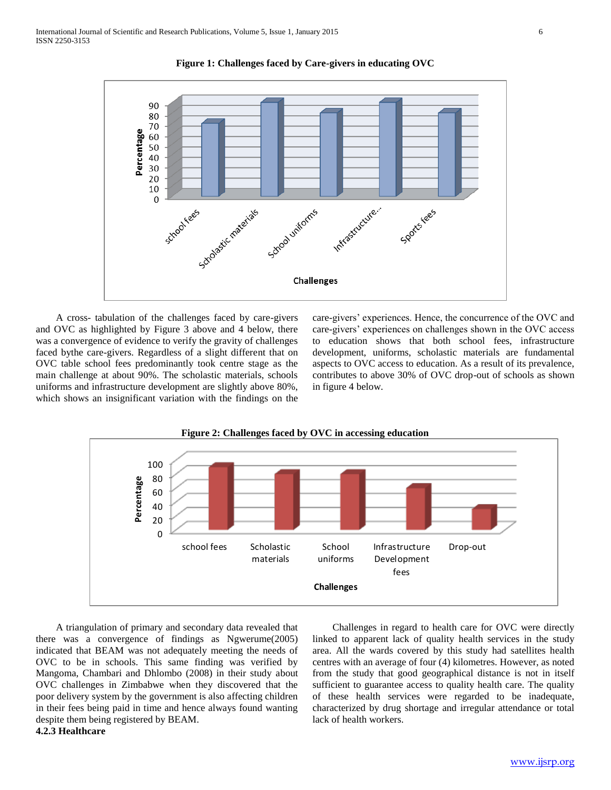

**Figure 1: Challenges faced by Care-givers in educating OVC**

 A cross- tabulation of the challenges faced by care-givers and OVC as highlighted by Figure 3 above and 4 below, there was a convergence of evidence to verify the gravity of challenges faced bythe care-givers. Regardless of a slight different that on OVC table school fees predominantly took centre stage as the main challenge at about 90%. The scholastic materials, schools uniforms and infrastructure development are slightly above 80%, which shows an insignificant variation with the findings on the care-givers' experiences. Hence, the concurrence of the OVC and care-givers' experiences on challenges shown in the OVC access to education shows that both school fees, infrastructure development, uniforms, scholastic materials are fundamental aspects to OVC access to education. As a result of its prevalence, contributes to above 30% of OVC drop-out of schools as shown in figure 4 below.



 A triangulation of primary and secondary data revealed that there was a convergence of findings as Ngwerume(2005) indicated that BEAM was not adequately meeting the needs of OVC to be in schools. This same finding was verified by Mangoma, Chambari and Dhlombo (2008) in their study about OVC challenges in Zimbabwe when they discovered that the poor delivery system by the government is also affecting children in their fees being paid in time and hence always found wanting despite them being registered by BEAM. **4.2.3 Healthcare**

 Challenges in regard to health care for OVC were directly linked to apparent lack of quality health services in the study area. All the wards covered by this study had satellites health centres with an average of four (4) kilometres. However, as noted from the study that good geographical distance is not in itself sufficient to guarantee access to quality health care. The quality of these health services were regarded to be inadequate, characterized by drug shortage and irregular attendance or total lack of health workers.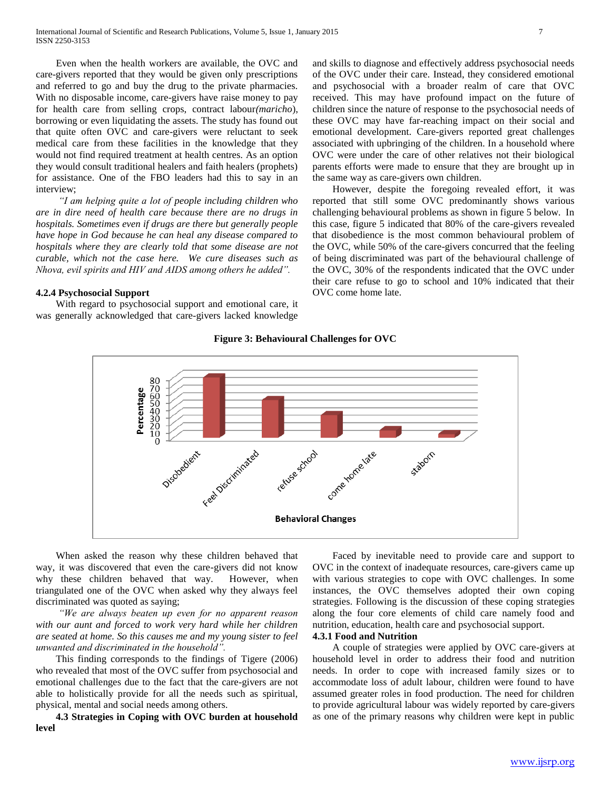Even when the health workers are available, the OVC and care-givers reported that they would be given only prescriptions and referred to go and buy the drug to the private pharmacies. With no disposable income, care-givers have raise money to pay for health care from selling crops, contract labour*(maricho*), borrowing or even liquidating the assets. The study has found out that quite often OVC and care-givers were reluctant to seek medical care from these facilities in the knowledge that they would not find required treatment at health centres. As an option they would consult traditional healers and faith healers (prophets) for assistance. One of the FBO leaders had this to say in an interview;

 *"I am helping quite a lot of people including children who are in dire need of health care because there are no drugs in hospitals. Sometimes even if drugs are there but generally people have hope in God because he can heal any disease compared to hospitals where they are clearly told that some disease are not curable, which not the case here. We cure diseases such as Nhova, evil spirits and HIV and AIDS among others he added".*

#### **4.2.4 Psychosocial Support**

 With regard to psychosocial support and emotional care, it was generally acknowledged that care-givers lacked knowledge and skills to diagnose and effectively address psychosocial needs of the OVC under their care. Instead, they considered emotional and psychosocial with a broader realm of care that OVC received. This may have profound impact on the future of children since the nature of response to the psychosocial needs of these OVC may have far-reaching impact on their social and emotional development. Care-givers reported great challenges associated with upbringing of the children. In a household where OVC were under the care of other relatives not their biological parents efforts were made to ensure that they are brought up in the same way as care-givers own children.

 However, despite the foregoing revealed effort, it was reported that still some OVC predominantly shows various challenging behavioural problems as shown in figure 5 below. In this case, figure 5 indicated that 80% of the care-givers revealed that disobedience is the most common behavioural problem of the OVC, while 50% of the care-givers concurred that the feeling of being discriminated was part of the behavioural challenge of the OVC, 30% of the respondents indicated that the OVC under their care refuse to go to school and 10% indicated that their OVC come home late.

#### **Figure 3: Behavioural Challenges for OVC**



 When asked the reason why these children behaved that way, it was discovered that even the care-givers did not know why these children behaved that way. However, when triangulated one of the OVC when asked why they always feel discriminated was quoted as saying;

 *"We are always beaten up even for no apparent reason with our aunt and forced to work very hard while her children are seated at home. So this causes me and my young sister to feel unwanted and discriminated in the household".*

 This finding corresponds to the findings of Tigere (2006) who revealed that most of the OVC suffer from psychosocial and emotional challenges due to the fact that the care-givers are not able to holistically provide for all the needs such as spiritual, physical, mental and social needs among others.

 **4.3 Strategies in Coping with OVC burden at household level**

 Faced by inevitable need to provide care and support to OVC in the context of inadequate resources, care-givers came up with various strategies to cope with OVC challenges. In some instances, the OVC themselves adopted their own coping strategies. Following is the discussion of these coping strategies along the four core elements of child care namely food and nutrition, education, health care and psychosocial support.

## **4.3.1 Food and Nutrition**

 A couple of strategies were applied by OVC care-givers at household level in order to address their food and nutrition needs. In order to cope with increased family sizes or to accommodate loss of adult labour, children were found to have assumed greater roles in food production. The need for children to provide agricultural labour was widely reported by care-givers as one of the primary reasons why children were kept in public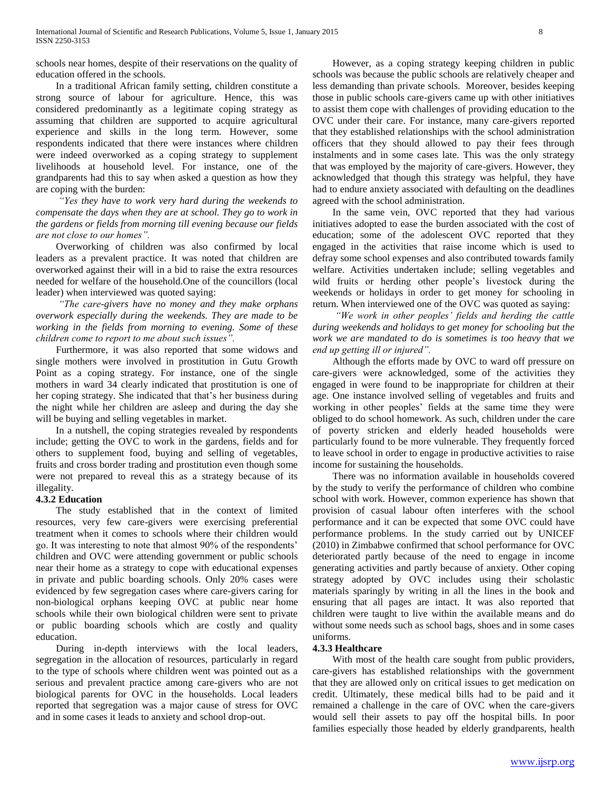schools near homes, despite of their reservations on the quality of education offered in the schools.

 In a traditional African family setting, children constitute a strong source of labour for agriculture. Hence, this was considered predominantly as a legitimate coping strategy as assuming that children are supported to acquire agricultural experience and skills in the long term. However, some respondents indicated that there were instances where children were indeed overworked as a coping strategy to supplement livelihoods at household level. For instance, one of the grandparents had this to say when asked a question as how they are coping with the burden:

 *"Yes they have to work very hard during the weekends to compensate the days when they are at school. They go to work in the gardens or fields from morning till evening because our fields are not close to our homes".*

 Overworking of children was also confirmed by local leaders as a prevalent practice. It was noted that children are overworked against their will in a bid to raise the extra resources needed for welfare of the household.One of the councillors (local leader) when interviewed was quoted saying:

 *"The care-givers have no money and they make orphans overwork especially during the weekends. They are made to be working in the fields from morning to evening. Some of these children come to report to me about such issues".*

 Furthermore, it was also reported that some widows and single mothers were involved in prostitution in Gutu Growth Point as a coping strategy. For instance, one of the single mothers in ward 34 clearly indicated that prostitution is one of her coping strategy. She indicated that that's her business during the night while her children are asleep and during the day she will be buying and selling vegetables in market.

 In a nutshell, the coping strategies revealed by respondents include; getting the OVC to work in the gardens, fields and for others to supplement food, buying and selling of vegetables, fruits and cross border trading and prostitution even though some were not prepared to reveal this as a strategy because of its illegality.

## **4.3.2 Education**

 The study established that in the context of limited resources, very few care-givers were exercising preferential treatment when it comes to schools where their children would go. It was interesting to note that almost 90% of the respondents' children and OVC were attending government or public schools near their home as a strategy to cope with educational expenses in private and public boarding schools. Only 20% cases were evidenced by few segregation cases where care-givers caring for non-biological orphans keeping OVC at public near home schools while their own biological children were sent to private or public boarding schools which are costly and quality education.

 During in-depth interviews with the local leaders, segregation in the allocation of resources, particularly in regard to the type of schools where children went was pointed out as a serious and prevalent practice among care-givers who are not biological parents for OVC in the households. Local leaders reported that segregation was a major cause of stress for OVC and in some cases it leads to anxiety and school drop-out.

 However, as a coping strategy keeping children in public schools was because the public schools are relatively cheaper and less demanding than private schools. Moreover, besides keeping those in public schools care-givers came up with other initiatives to assist them cope with challenges of providing education to the OVC under their care. For instance, many care-givers reported that they established relationships with the school administration officers that they should allowed to pay their fees through instalments and in some cases late. This was the only strategy that was employed by the majority of care-givers. However, they acknowledged that though this strategy was helpful, they have had to endure anxiety associated with defaulting on the deadlines agreed with the school administration.

 In the same vein, OVC reported that they had various initiatives adopted to ease the burden associated with the cost of education; some of the adolescent OVC reported that they engaged in the activities that raise income which is used to defray some school expenses and also contributed towards family welfare. Activities undertaken include; selling vegetables and wild fruits or herding other people's livestock during the weekends or holidays in order to get money for schooling in return. When interviewed one of the OVC was quoted as saying:

 *"We work in other peoples' fields and herding the cattle during weekends and holidays to get money for schooling but the work we are mandated to do is sometimes is too heavy that we end up getting ill or injured".*

 Although the efforts made by OVC to ward off pressure on care-givers were acknowledged, some of the activities they engaged in were found to be inappropriate for children at their age. One instance involved selling of vegetables and fruits and working in other peoples' fields at the same time they were obliged to do school homework. As such, children under the care of poverty stricken and elderly headed households were particularly found to be more vulnerable. They frequently forced to leave school in order to engage in productive activities to raise income for sustaining the households.

 There was no information available in households covered by the study to verify the performance of children who combine school with work. However, common experience has shown that provision of casual labour often interferes with the school performance and it can be expected that some OVC could have performance problems. In the study carried out by UNICEF (2010) in Zimbabwe confirmed that school performance for OVC deteriorated partly because of the need to engage in income generating activities and partly because of anxiety. Other coping strategy adopted by OVC includes using their scholastic materials sparingly by writing in all the lines in the book and ensuring that all pages are intact. It was also reported that children were taught to live within the available means and do without some needs such as school bags, shoes and in some cases uniforms.

## **4.3.3 Healthcare**

 With most of the health care sought from public providers, care-givers has established relationships with the government that they are allowed only on critical issues to get medication on credit. Ultimately, these medical bills had to be paid and it remained a challenge in the care of OVC when the care-givers would sell their assets to pay off the hospital bills. In poor families especially those headed by elderly grandparents, health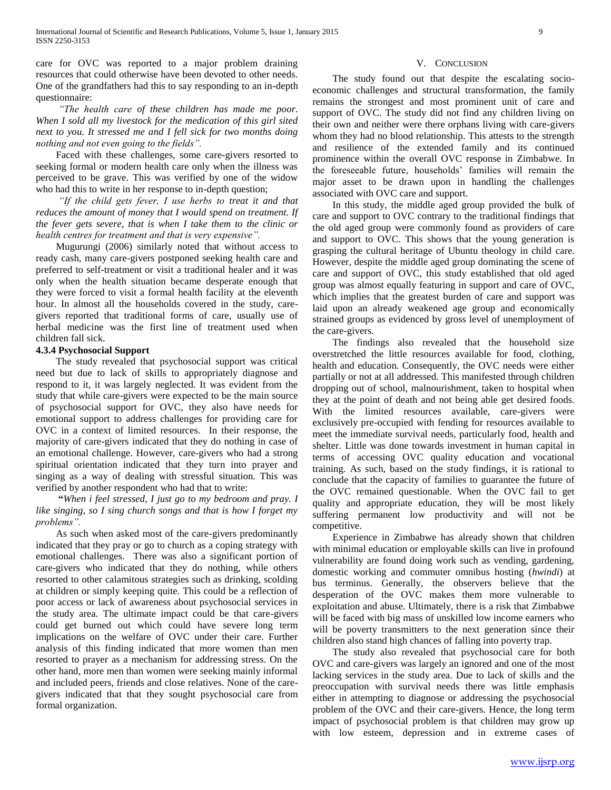care for OVC was reported to a major problem draining resources that could otherwise have been devoted to other needs. One of the grandfathers had this to say responding to an in-depth questionnaire:

 *"The health care of these children has made me poor. When I sold all my livestock for the medication of this girl sited next to you. It stressed me and I fell sick for two months doing nothing and not even going to the fields".*

 Faced with these challenges, some care-givers resorted to seeking formal or modern health care only when the illness was perceived to be grave. This was verified by one of the widow who had this to write in her response to in-depth question;

 *"If the child gets fever, I use herbs to treat it and that reduces the amount of money that I would spend on treatment. If the fever gets severe, that is when I take them to the clinic or health centres for treatment and that is very expensive".*

 Mugurungi (2006) similarly noted that without access to ready cash, many care-givers postponed seeking health care and preferred to self-treatment or visit a traditional healer and it was only when the health situation became desperate enough that they were forced to visit a formal health facility at the eleventh hour. In almost all the households covered in the study, caregivers reported that traditional forms of care, usually use of herbal medicine was the first line of treatment used when children fall sick.

# **4.3.4 Psychosocial Support**

 The study revealed that psychosocial support was critical need but due to lack of skills to appropriately diagnose and respond to it, it was largely neglected. It was evident from the study that while care-givers were expected to be the main source of psychosocial support for OVC, they also have needs for emotional support to address challenges for providing care for OVC in a context of limited resources. In their response, the majority of care-givers indicated that they do nothing in case of an emotional challenge. However, care-givers who had a strong spiritual orientation indicated that they turn into prayer and singing as a way of dealing with stressful situation. This was verified by another respondent who had that to write:

 **"***When i feel stressed, I just go to my bedroom and pray. I like singing, so I sing church songs and that is how I forget my problems".*

 As such when asked most of the care-givers predominantly indicated that they pray or go to church as a coping strategy with emotional challenges. There was also a significant portion of care-givers who indicated that they do nothing, while others resorted to other calamitous strategies such as drinking, scolding at children or simply keeping quite. This could be a reflection of poor access or lack of awareness about psychosocial services in the study area. The ultimate impact could be that care-givers could get burned out which could have severe long term implications on the welfare of OVC under their care. Further analysis of this finding indicated that more women than men resorted to prayer as a mechanism for addressing stress. On the other hand, more men than women were seeking mainly informal and included peers, friends and close relatives. None of the caregivers indicated that that they sought psychosocial care from formal organization.

#### V. CONCLUSION

 The study found out that despite the escalating socioeconomic challenges and structural transformation, the family remains the strongest and most prominent unit of care and support of OVC. The study did not find any children living on their own and neither were there orphans living with care-givers whom they had no blood relationship. This attests to the strength and resilience of the extended family and its continued prominence within the overall OVC response in Zimbabwe. In the foreseeable future, households' families will remain the major asset to be drawn upon in handling the challenges associated with OVC care and support.

 In this study, the middle aged group provided the bulk of care and support to OVC contrary to the traditional findings that the old aged group were commonly found as providers of care and support to OVC. This shows that the young generation is grasping the cultural heritage of Ubuntu theology in child care. However, despite the middle aged group dominating the scene of care and support of OVC, this study established that old aged group was almost equally featuring in support and care of OVC, which implies that the greatest burden of care and support was laid upon an already weakened age group and economically strained groups as evidenced by gross level of unemployment of the care-givers.

 The findings also revealed that the household size overstretched the little resources available for food, clothing, health and education. Consequently, the OVC needs were either partially or not at all addressed. This manifested through children dropping out of school, malnourishment, taken to hospital when they at the point of death and not being able get desired foods. With the limited resources available, care-givers were exclusively pre-occupied with fending for resources available to meet the immediate survival needs, particularly food, health and shelter. Little was done towards investment in human capital in terms of accessing OVC quality education and vocational training. As such, based on the study findings, it is rational to conclude that the capacity of families to guarantee the future of the OVC remained questionable. When the OVC fail to get quality and appropriate education, they will be most likely suffering permanent low productivity and will not be competitive.

 Experience in Zimbabwe has already shown that children with minimal education or employable skills can live in profound vulnerability are found doing work such as vending, gardening, domestic working and commuter omnibus hosting (*hwindi*) at bus terminus. Generally, the observers believe that the desperation of the OVC makes them more vulnerable to exploitation and abuse. Ultimately, there is a risk that Zimbabwe will be faced with big mass of unskilled low income earners who will be poverty transmitters to the next generation since their children also stand high chances of falling into poverty trap.

 The study also revealed that psychosocial care for both OVC and care-givers was largely an ignored and one of the most lacking services in the study area. Due to lack of skills and the preoccupation with survival needs there was little emphasis either in attempting to diagnose or addressing the psychosocial problem of the OVC and their care-givers. Hence, the long term impact of psychosocial problem is that children may grow up with low esteem, depression and in extreme cases of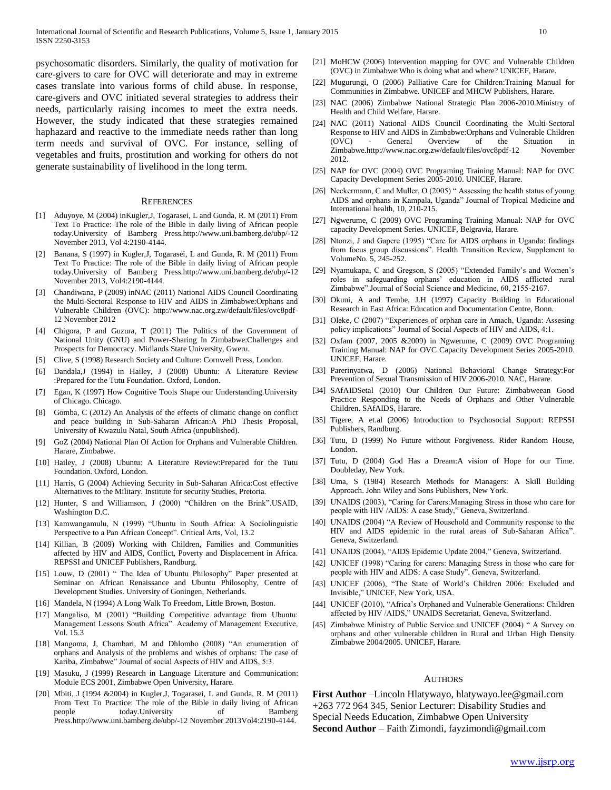psychosomatic disorders. Similarly, the quality of motivation for care-givers to care for OVC will deteriorate and may in extreme cases translate into various forms of child abuse. In response, care-givers and OVC initiated several strategies to address their needs, particularly raising incomes to meet the extra needs. However, the study indicated that these strategies remained haphazard and reactive to the immediate needs rather than long term needs and survival of OVC. For instance, selling of vegetables and fruits, prostitution and working for others do not generate sustainability of livelihood in the long term.

#### **REFERENCES**

- [1] Aduyoye, M (2004) inKugler,J, Togarasei, L and Gunda, R. M (2011) From Text To Practice: The role of the Bible in daily living of African people today.University of Bamberg Press.http://www.uni.bamberg.de/ubp/-12 November 2013, Vol 4:2190-4144.
- [2] Banana, S (1997) in Kugler,J, Togarasei, L and Gunda, R. M (2011) From Text To Practice: The role of the Bible in daily living of African people today.University of Bamberg Press.http://www.uni.bamberg.de/ubp/-12 November 2013, Vol4:2190-4144.
- [3] Chandiwana, P (2009) inNAC (2011) National AIDS Council Coordinating the Multi-Sectoral Response to HIV and AIDS in Zimbabwe:Orphans and Vulnerable Children (OVC): http://www.nac.org.zw/default/files/ovc8pdf-12 November 2012
- [4] Chigora, P and Guzura, T (2011) The Politics of the Government of National Unity (GNU) and Power-Sharing In Zimbabwe:Challenges and Prospects for Democracy. Midlands State University, Gweru.
- [5] Clive, S (1998) Research Society and Culture: Cornwell Press, London.
- [6] Dandala,J (1994) in Hailey, J (2008) Ubuntu: A Literature Review :Prepared for the Tutu Foundation. Oxford, London.
- [7] Egan, K (1997) How Cognitive Tools Shape our Understanding.University of Chicago. Chicago.
- [8] Gomba, C (2012) An Analysis of the effects of climatic change on conflict and peace building in Sub-Saharan African:A PhD Thesis Proposal, University of Kwazulu Natal, South Africa (unpublished).
- [9] GoZ (2004) National Plan Of Action for Orphans and Vulnerable Children. Harare, Zimbabwe.
- [10] Hailey, J (2008) Ubuntu: A Literature Review:Prepared for the Tutu Foundation. Oxford, London.
- [11] Harris, G (2004) Achieving Security in Sub-Saharan Africa:Cost effective Alternatives to the Military. Institute for security Studies, Pretoria.
- [12] Hunter, S and Williamson, J (2000) "Children on the Brink".USAID, Washington D.C.
- [13] Kamwangamulu, N (1999) "Ubuntu in South Africa: A Sociolinguistic Perspective to a Pan African Concept". Critical Arts, Vol, 13.2
- [14] Killian, B (2009) Working with Children, Families and Communities affected by HIV and AIDS, Conflict, Poverty and Displacement in Africa. REPSSI and UNICEF Publishers, Randburg.
- [15] Louw, D (2001) " The Idea of Ubuntu Philosophy" Paper presented at Seminar on African Renaissance and Ubuntu Philosophy, Centre of Development Studies. University of Goningen, Netherlands.
- [16] Mandela, N (1994) A Long Walk To Freedom, Little Brown, Boston.
- [17] Mangaliso, M (2001) "Building Competitive advantage from Ubuntu: Management Lessons South Africa". Academy of Management Executive, Vol. 15.3
- [18] Mangoma, J. Chambari, M and Dhlombo (2008) "An enumeration of orphans and Analysis of the problems and wishes of orphans: The case of Kariba, Zimbabwe" Journal of social Aspects of HIV and AIDS, 5:3.
- [19] Masuku, J (1999) Research in Language Literature and Communication: Module ECS 2001, Zimbabwe Open University, Harare.
- [20] Mbiti, J (1994 &2004) in Kugler, J, Togarasei, L and Gunda, R. M (2011) From Text To Practice: The role of the Bible in daily living of African people today.University of Bamberg Press.http://www.uni.bamberg.de/ubp/-12 November 2013Vol4:2190-4144.
- [21] MoHCW (2006) Intervention mapping for OVC and Vulnerable Children (OVC) in Zimbabwe:Who is doing what and where? UNICEF, Harare.
- [22] Mugurungi, O (2006) Palliative Care for Children:Training Manual for Communities in Zimbabwe. UNICEF and MHCW Publishers, Harare.
- [23] NAC (2006) Zimbabwe National Strategic Plan 2006-2010.Ministry of Health and Child Welfare, Harare.
- [24] NAC (2011) National AIDS Council Coordinating the Multi-Sectoral Response to HIV and AIDS in Zimbabwe:Orphans and Vulnerable Children (OVC) - General Overview of the Situation in Zimbabwe.http://www.nac.org.zw/default/files/ovc8pdf-12 November 2012.
- [25] NAP for OVC (2004) OVC Programing Training Manual: NAP for OVC Capacity Development Series 2005-2010. UNICEF, Harare.
- [26] Neckermann, C and Muller, O (2005) " Assessing the health status of young AIDS and orphans in Kampala, Uganda" Journal of Tropical Medicine and International health, 10, 210-215.
- [27] Ngwerume, C (2009) OVC Programing Training Manual: NAP for OVC capacity Development Series. UNICEF, Belgravia, Harare.
- [28] Ntonzi, J and Gapere (1995) "Care for AIDS orphans in Uganda: findings from focus group discussions". Health Transition Review, Supplement to VolumeNo. 5, 245-252.
- [29] Nyamukapa, C and Gregson, S (2005) "Extended Family's and Women's roles in safeguarding orphans' education in AIDS afflicted rural Zimbabwe".Journal of Social Science and Medicine, 60, 2155-2167.
- [30] Okuni, A and Tembe, J.H (1997) Capacity Building in Educational Research in East Africa: Education and Documentation Centre, Bonn.
- [31] Oleke, C (2007) "Experiences of orphan care in Amach, Uganda: Assesing policy implications" Journal of Social Aspects of HIV and AIDS, 4:1.
- [32] Oxfam (2007, 2005 &2009) in Ngwerume, C (2009) OVC Programing Training Manual: NAP for OVC Capacity Development Series 2005-2010. UNICEF, Harare.
- [33] Parerinyatwa, D (2006) National Behavioral Change Strategy:For Prevention of Sexual Transmission of HIV 2006-2010. NAC, Harare.
- [34] SAfAIDSetal (2010) Our Children Our Future: Zimbabweean Good Practice Responding to the Needs of Orphans and Other Vulnerable Children. SAfAIDS, Harare.
- [35] Tigere, A et.al (2006) Introduction to Psychosocial Support: REPSSI Publishers, Randburg.
- [36] Tutu, D (1999) No Future without Forgiveness. Rider Random House, London.
- [37] Tutu, D (2004) God Has a Dream:A vision of Hope for our Time. Doubleday, New York.
- [38] Uma, S (1984) Research Methods for Managers: A Skill Building Approach. John Wiley and Sons Publishers, New York.
- [39] UNAIDS (2003), "Caring for Carers: Managing Stress in those who care for people with HIV /AIDS: A case Study," Geneva, Switzerland.
- [40] UNAIDS (2004) "A Review of Household and Community response to the HIV and AIDS epidemic in the rural areas of Sub-Saharan Africa". Geneva, Switzerland.
- [41] UNAIDS (2004), "AIDS Epidemic Update 2004," Geneva, Switzerland.
- [42] UNICEF (1998) "Caring for carers: Managing Stress in those who care for people with HIV and AIDS: A case Study". Geneva, Switzerland.
- [43] UNICEF (2006), "The State of World's Children 2006: Excluded and Invisible," UNICEF, New York, USA.
- [44] UNICEF (2010), "Africa's Orphaned and Vulnerable Generations: Children affected by HIV /AIDS," UNAIDS Secretariat, Geneva, Switzerland.
- [45] Zimbabwe Ministry of Public Service and UNICEF (2004) " A Survey on orphans and other vulnerable children in Rural and Urban High Density Zimbabwe 2004/2005. UNICEF, Harare.

#### AUTHORS

**First Author** –Lincoln Hlatywayo, hlatywayo.lee@gmail.com +263 772 964 345, Senior Lecturer: Disability Studies and Special Needs Education, Zimbabwe Open University **Second Author** – Faith Zimondi, fayzimondi@gmail.com